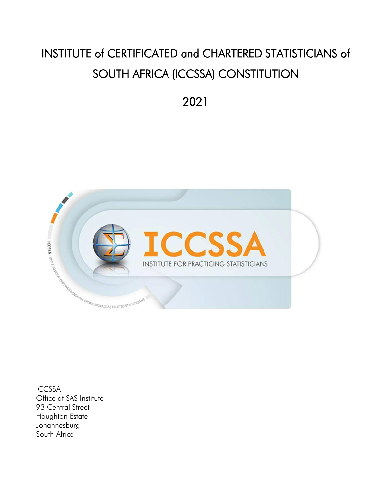# INSTITUTE of CERTIFICATED and CHARTERED STATISTICIANS of SOUTH AFRICA (ICCSSA) CONSTITUTION

2021



ICCSSA Office at SAS Institute 93 Central Street Houghton Estate Johannesburg South Africa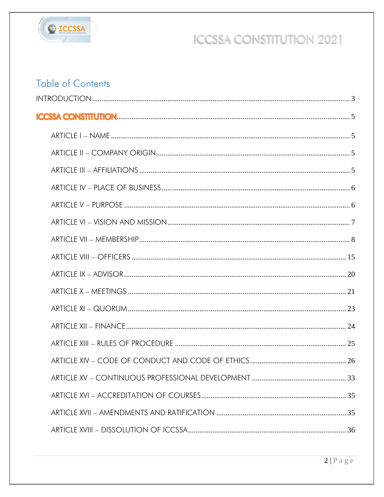

### **Table of Contents**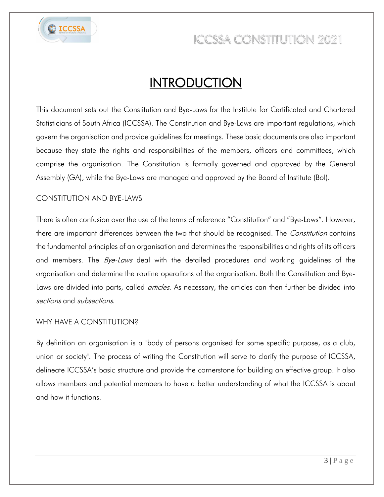

### **INTRODUCTION**

<span id="page-2-0"></span>This document sets out the Constitution and Bye-Laws for the Institute for Certificated and Chartered Statisticians of South Africa (ICCSSA). The Constitution and Bye-Laws are important regulations, which govern the organisation and provide guidelines for meetings. These basic documents are also important because they state the rights and responsibilities of the members, officers and committees, which comprise the organisation. The Constitution is formally governed and approved by the General Assembly (GA), while the Bye-Laws are managed and approved by the Board of Institute (BoI).

#### CONSTITUTION AND BYE-LAWS

There is often confusion over the use of the terms of reference "Constitution" and "Bye-Laws". However, there are important differences between the two that should be recognised. The *Constitution* contains the fundamental principles of an organisation and determines the responsibilities and rights of its officers and members. The *Bye-Laws* deal with the detailed procedures and working guidelines of the organisation and determine the routine operations of the organisation. Both the Constitution and Bye-Laws are divided into parts, called *articles*. As necessary, the articles can then further be divided into sections and subsections.

#### WHY HAVE A CONSTITUTION?

By definition an organisation is a "body of persons organised for some specific purpose, as a club, union or society". The process of writing the Constitution will serve to clarify the purpose of ICCSSA, delineate ICCSSA's basic structure and provide the cornerstone for building an effective group. It also allows members and potential members to have a better understanding of what the ICCSSA is about and how it functions.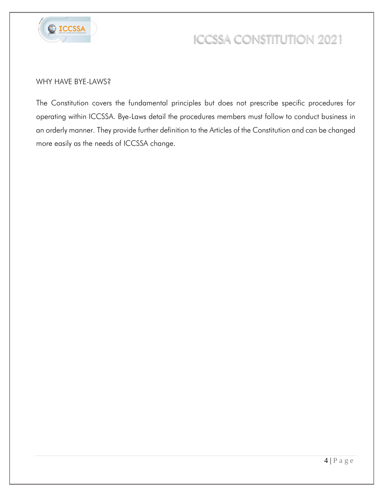

#### WHY HAVE BYE-LAWS?

The Constitution covers the fundamental principles but does not prescribe specific procedures for operating within ICCSSA. Bye-Laws detail the procedures members must follow to conduct business in an orderly manner. They provide further definition to the Articles of the Constitution and can be changed more easily as the needs of ICCSSA change.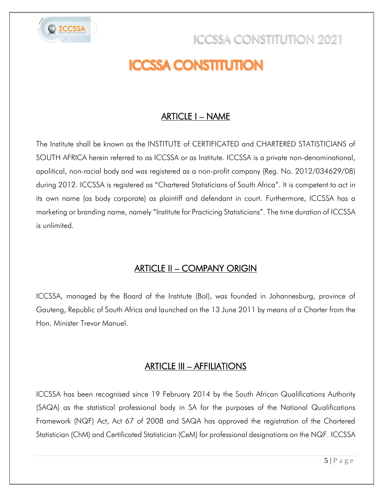<span id="page-4-0"></span>

# **ICCSSA CONSTITUTION**

### ARTICLE I – NAME

<span id="page-4-1"></span>The Institute shall be known as the INSTITUTE of CERTIFICATED and CHARTERED STATISTICIANS of SOUTH AFRICA herein referred to as ICCSSA or as Institute. ICCSSA is a private non-denominational, apolitical, non-racial body and was registered as a non-profit company (Reg. No. 2012/034629/08) during 2012. ICCSSA is registered as "Chartered Statisticians of South Africa". It is competent to act in its own name (as body corporate) as plaintiff and defendant in court. Furthermore, ICCSSA has a marketing or branding name, namely "Institute for Practicing Statisticians". The time duration of ICCSSA is unlimited.

### ARTICLE II – COMPANY ORIGIN

<span id="page-4-2"></span>ICCSSA, managed by the Board of the Institute (BoI), was founded in Johannesburg, province of Gauteng, Republic of South Africa and launched on the 13 June 2011 by means of a Charter from the Hon. Minister Trevor Manuel.

### ARTICLE III – AFFILIATIONS

<span id="page-4-3"></span>ICCSSA has been recognised since 19 February 2014 by the South African Qualifications Authority (SAQA) as the statistical professional body in SA for the purposes of the National Qualifications Framework (NQF) Act, Act 67 of 2008 and SAQA has approved the registration of the Chartered Statistician (ChM) and Certificated Statistician (CeM) for professional designations on the NQF. ICCSSA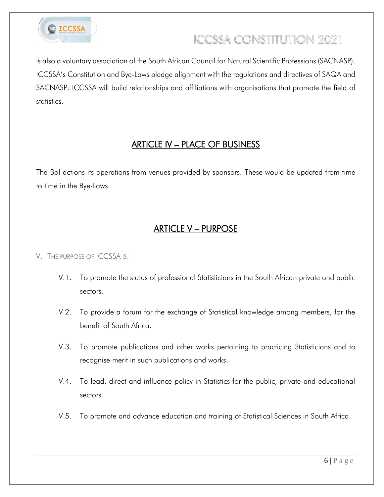

is also a voluntary association of the South African Council for Natural Scientific Professions (SACNASP). ICCSSA's Constitution and Bye-Laws pledge alignment with the regulations and directives of SAQA and SACNASP. ICCSSA will build relationships and affiliations with organisations that promote the field of statistics.

### ARTICLE IV – PLACE OF BUSINESS

<span id="page-5-0"></span>The BoI actions its operations from venues provided by sponsors. These would be updated from time to time in the Bye-Laws.

### ARTICLE V – PURPOSE

#### <span id="page-5-1"></span>V. THE PURPOSE OF ICCSSA IS:

- V.1. To promote the status of professional Statisticians in the South African private and public sectors.
- V.2. To provide a forum for the exchange of Statistical knowledge among members, for the benefit of South Africa.
- V.3. To promote publications and other works pertaining to practicing Statisticians and to recognise merit in such publications and works.
- V.4. To lead, direct and influence policy in Statistics for the public, private and educational sectors.
- V.5. To promote and advance education and training of Statistical Sciences in South Africa.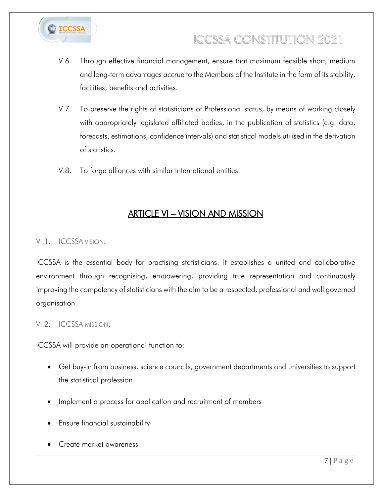

- V.6. Through effective financial management, ensure that maximum feasible short, medium and long-term advantages accrue to the Members of the Institute in the form of its stability, facilities, benefits and activities.
- V.7. To preserve the rights of statisticians of Professional status, by means of working closely with appropriately legislated affiliated bodies, in the publication of statistics (e.g. data, forecasts, estimations, confidence intervals) and statistical models utilised in the derivation of statistics.
- V.8. To forge alliances with similar International entities.

### ARTICLE VI – VISION AND MISSION

#### <span id="page-6-0"></span>VI.1. ICCSSA VISION:

ICCSSA is the essential body for practising statisticians. It establishes a united and collaborative environment through recognising, empowering, providing true representation and continuously improving the competency of statisticians with the aim to be a respected, professional and well governed organisation.

#### VI.2. ICCSSA MISSION:

ICCSSA will provide an operational function to:

- Get buy-in from business, science councils, government departments and universities to support the statistical profession
- Implement a process for application and recruitment of members
- Ensure financial sustainability
- Create market awareness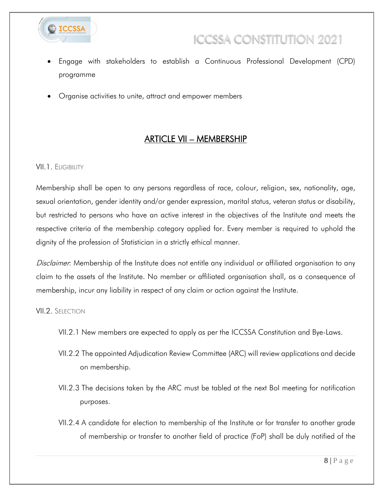

- Engage with stakeholders to establish a Continuous Professional Development (CPD) programme
- Organise activities to unite, attract and empower members

### ARTICLE VII – MEMBERSHIP

#### <span id="page-7-0"></span>VII.1. ELIGIBILITY

Membership shall be open to any persons regardless of race, colour, religion, sex, nationality, age, sexual orientation, gender identity and/or gender expression, marital status, veteran status or disability, but restricted to persons who have an active interest in the objectives of the Institute and meets the respective criteria of the membership category applied for. Every member is required to uphold the dignity of the profession of Statistician in a strictly ethical manner.

Disclaimer: Membership of the Institute does not entitle any individual or affiliated organisation to any claim to the assets of the Institute. No member or affiliated organisation shall, as a consequence of membership, incur any liability in respect of any claim or action against the Institute.

#### VII.2. SELECTION

- VII.2.1 New members are expected to apply as per the ICCSSA Constitution and Bye-Laws.
- VII.2.2 The appointed Adjudication Review Committee (ARC) will review applications and decide on membership.
- VII.2.3 The decisions taken by the ARC must be tabled at the next BoI meeting for notification purposes.
- VII.2.4 A candidate for election to membership of the Institute or for transfer to another grade of membership or transfer to another field of practice (FoP) shall be duly notified of the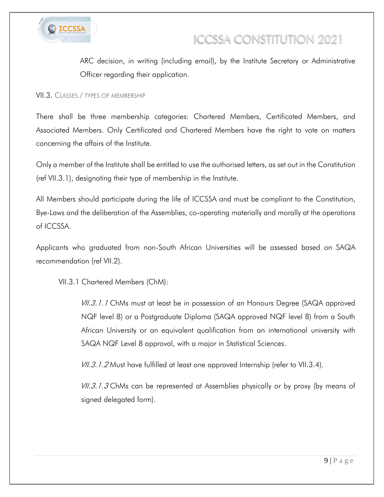

ARC decision, in writing (including email), by the Institute Secretary or Administrative Officer regarding their application.

VII.3. CLASSES / TYPES OF MEMBERSHIP

There shall be three membership categories: Chartered Members, Certificated Members, and Associated Members. Only Certificated and Chartered Members have the right to vote on matters concerning the affairs of the Institute.

Only a member of the Institute shall be entitled to use the authorised letters, as set out in the Constitution (ref VII.3.1), designating their type of membership in the Institute.

All Members should participate during the life of ICCSSA and must be compliant to the Constitution, Bye-Laws and the deliberation of the Assemblies, co-operating materially and morally at the operations of ICCSSA.

Applicants who graduated from non-South African Universities will be assessed based on SAQA recommendation (ref VII.2).

VII.3.1 Chartered Members (ChM):

*VII.3.1.1* ChMs must at least be in possession of an Honours Degree (SAQA approved NQF level 8) or a Postgraduate Diploma (SAQA approved NQF level 8) from a South African University or an equivalent qualification from an international university with SAQA NQF Level 8 approval, with a major in Statistical Sciences.

 $VII.3.1.2$  Must have fulfilled at least one approved Internship (refer to VII.3.4).

VII.3.1.3 ChMs can be represented at Assemblies physically or by proxy (by means of signed delegated form).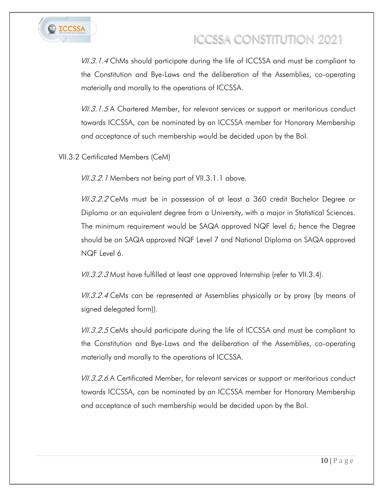

VII.3.1.4 ChMs should participate during the life of ICCSSA and must be compliant to the Constitution and Bye-Laws and the deliberation of the Assemblies, co-operating materially and morally to the operations of ICCSSA.

VII.3.1.5 A Chartered Member, for relevant services or support or meritorious conduct towards ICCSSA, can be nominated by an ICCSSA member for Honorary Membership and acceptance of such membership would be decided upon by the BoI.

VII.3.2 Certificated Members (CeM)

VII.3.2.1 Members not being part of VII.3.1.1 above.

VII.3.2.2 CeMs must be in possession of at least a 360 credit Bachelor Degree or Diploma or an equivalent degree from a University, with a major in Statistical Sciences. The minimum requirement would be SAQA approved NQF level 6; hence the Degree should be on SAQA approved NQF Level 7 and National Diploma on SAQA approved NQF Level 6.

VII.3.2.3 Must have fulfilled at least one approved Internship (refer to VII.3.4).

VII.3.2.4 CeMs can be represented at Assemblies physically or by proxy (by means of signed delegated form)).

VII.3.2.5 CeMs should participate during the life of ICCSSA and must be compliant to the Constitution and Bye-Laws and the deliberation of the Assemblies, co-operating materially and morally to the operations of ICCSSA.

VII.3.2.6 A Certificated Member, for relevant services or support or meritorious conduct towards ICCSSA, can be nominated by an ICCSSA member for Honorary Membership and acceptance of such membership would be decided upon by the BoI.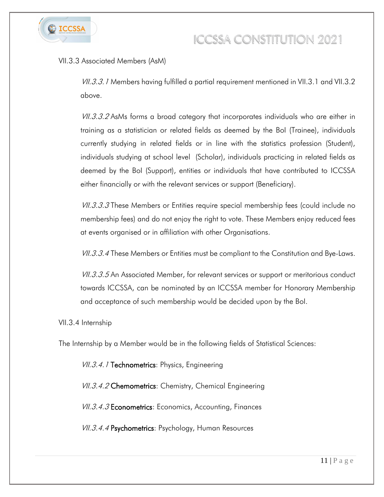

#### VII.3.3 Associated Members (AsM)

VII.3.3.1 Members having fulfilled a partial requirement mentioned in VII.3.1 and VII.3.2 above.

VII.3.3.2 AsMs forms a broad category that incorporates individuals who are either in training as a statistician or related fields as deemed by the BoI (Trainee), individuals currently studying in related fields or in line with the statistics profession (Student), individuals studying at school level (Scholar), individuals practicing in related fields as deemed by the BoI (Support), entities or individuals that have contributed to ICCSSA either financially or with the relevant services or support (Beneficiary).

VII.3.3.3 These Members or Entities require special membership fees (could include no membership fees) and do not enjoy the right to vote. These Members enjoy reduced fees at events organised or in affiliation with other Organisations.

*VII.3.3.4* These Members or Entities must be compliant to the Constitution and Bye-Laws.

VII.3.3.5 An Associated Member, for relevant services or support or meritorious conduct towards ICCSSA, can be nominated by an ICCSSA member for Honorary Membership and acceptance of such membership would be decided upon by the BoI.

VII.3.4 Internship

The Internship by a Member would be in the following fields of Statistical Sciences:

VII.3.4.1 Technometrics: Physics, Engineering

VII.3.4.2 Chemometrics: Chemistry, Chemical Engineering

VII.3.4.3 Econometrics: Economics, Accounting, Finances

VII.3.4.4 Psychometrics: Psychology, Human Resources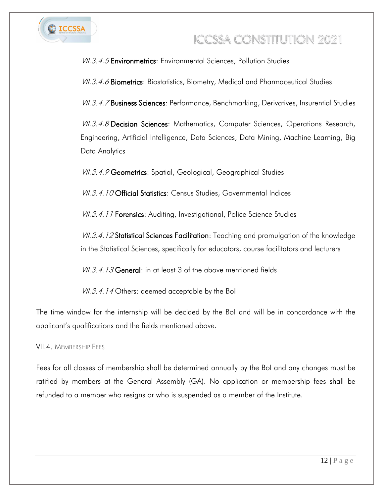

VII.3.4.5 **Environmetrics**: Environmental Sciences, Pollution Studies

VII.3.4.6 Biometrics: Biostatistics, Biometry, Medical and Pharmaceutical Studies

VII.3.4.7 Business Sciences: Performance, Benchmarking, Derivatives, Insurential Studies

VII.3.4.8 Decision Sciences: Mathematics, Computer Sciences, Operations Research, Engineering, Artificial Intelligence, Data Sciences, Data Mining, Machine Learning, Big Data Analytics

VII.3.4.9 Geometrics: Spatial, Geological, Geographical Studies

VII.3.4.10 Official Statistics: Census Studies, Governmental Indices

VII.3.4.11 Forensics: Auditing, Investigational, Police Science Studies

VII.3.4.12 Statistical Sciences Facilitation: Teaching and promulgation of the knowledge in the Statistical Sciences, specifically for educators, course facilitators and lecturers

VII.3.4.13 General: in at least 3 of the above mentioned fields

VII.3.4.14 Others: deemed acceptable by the Bol

The time window for the internship will be decided by the BoI and will be in concordance with the applicant's qualifications and the fields mentioned above.

VII.4 MEMBERSHIP FEES

Fees for all classes of membership shall be determined annually by the BoI and any changes must be ratified by members at the General Assembly (GA). No application or membership fees shall be refunded to a member who resigns or who is suspended as a member of the Institute.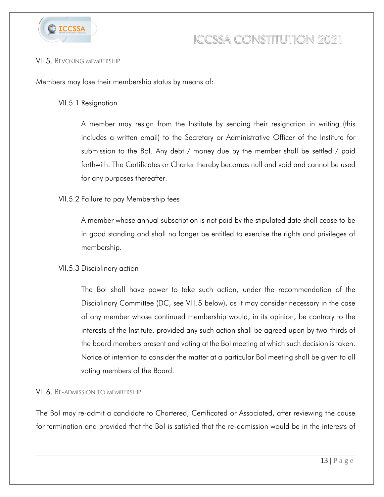

#### VII.5. REVOKING MEMBERSHIP

Members may lose their membership status by means of:

#### VII.5.1 Resignation

A member may resign from the Institute by sending their resignation in writing (this includes a written email) to the Secretary or Administrative Officer of the Institute for submission to the BoI. Any debt / money due by the member shall be settled / paid forthwith. The Certificates or Charter thereby becomes null and void and cannot be used for any purposes thereafter.

#### VII.5.2 Failure to pay Membership fees

A member whose annual subscription is not paid by the stipulated date shall cease to be in good standing and shall no longer be entitled to exercise the rights and privileges of membership.

#### VII.5.3 Disciplinary action

The BoI shall have power to take such action, under the recommendation of the Disciplinary Committee (DC, see VIII.5 below), as it may consider necessary in the case of any member whose continued membership would, in its opinion, be contrary to the interests of the Institute, provided any such action shall be agreed upon by two-thirds of the board members present and voting at the BoI meeting at which such decision is taken. Notice of intention to consider the matter at a particular BoI meeting shall be given to all voting members of the Board.

#### VII.6. RE-ADMISSION TO MEMBERSHIP

The BoI may re-admit a candidate to Chartered, Certificated or Associated, after reviewing the cause for termination and provided that the BoI is satisfied that the re-admission would be in the interests of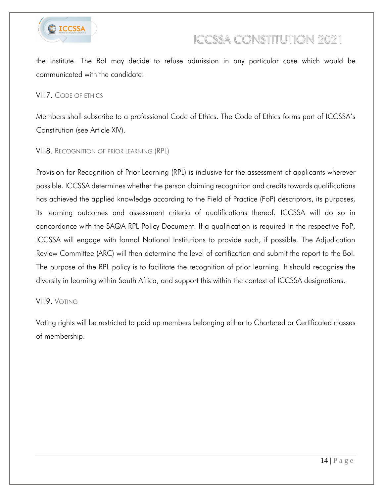

the Institute. The BoI may decide to refuse admission in any particular case which would be communicated with the candidate.

#### VII.7. CODE OF ETHICS

Members shall subscribe to a professional Code of Ethics. The Code of Ethics forms part of ICCSSA's Constitution (see Article XIV).

#### VII.8. RECOGNITION OF PRIOR LEARNING (RPL)

Provision for Recognition of Prior Learning (RPL) is inclusive for the assessment of applicants wherever possible. ICCSSA determines whether the person claiming recognition and credits towards qualifications has achieved the applied knowledge according to the Field of Practice (FoP) descriptors, its purposes, its learning outcomes and assessment criteria of qualifications thereof. ICCSSA will do so in concordance with the SAQA RPL Policy Document. If a qualification is required in the respective FoP, ICCSSA will engage with formal National Institutions to provide such, if possible. The Adjudication Review Committee (ARC) will then determine the level of certification and submit the report to the BoI. The purpose of the RPL policy is to facilitate the recognition of prior learning. It should recognise the diversity in learning within South Africa, and support this within the context of ICCSSA designations.

#### VII.9. VOTING

Voting rights will be restricted to paid up members belonging either to Chartered or Certificated classes of membership.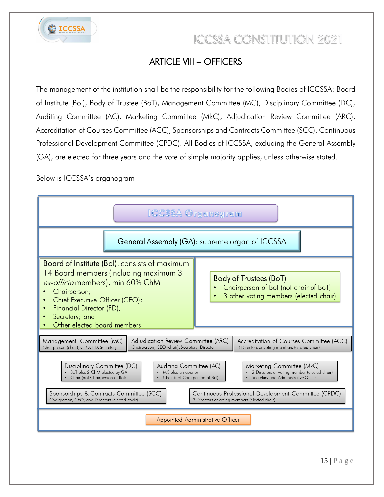

### ARTICLE VIII – OFFICERS

<span id="page-14-0"></span>The management of the institution shall be the responsibility for the following Bodies of ICCSSA: Board of Institute (BoI), Body of Trustee (BoT), Management Committee (MC), Disciplinary Committee (DC), Auditing Committee (AC), Marketing Committee (MkC), Adjudication Review Committee (ARC), Accreditation of Courses Committee (ACC), Sponsorships and Contracts Committee (SCC), Continuous Professional Development Committee (CPDC). All Bodies of ICCSSA, excluding the General Assembly (GA), are elected for three years and the vote of simple majority applies, unless otherwise stated.

Below is ICCSSA's organogram

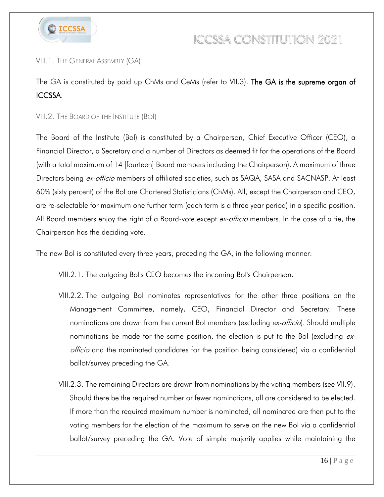

#### VIII.1. THE GENERAL ASSEMBLY (GA)

The GA is constituted by paid up ChMs and CeMs (refer to VII.3). The GA is the supreme organ of ICCSSA.

#### VIII.2. THE BOARD OF THE INSTITUTE (BOI)

The Board of the Institute (BoI) is constituted by a Chairperson, Chief Executive Officer (CEO), a Financial Director, a Secretary and a number of Directors as deemed fit for the operations of the Board (with a total maximum of 14 [fourteen] Board members including the Chairperson). A maximum of three Directors being ex-officio members of affiliated societies, such as SAQA, SASA and SACNASP. At least 60% (sixty percent) of the BoI are Chartered Statisticians (ChMs). All, except the Chairperson and CEO, are re-selectable for maximum one further term (each term is a three year period) in a specific position. All Board members enjoy the right of a Board-vote except ex-officio members. In the case of a tie, the Chairperson has the deciding vote.

The new BoI is constituted every three years, preceding the GA, in the following manner:

VIII.2.1. The outgoing BoI's CEO becomes the incoming BoI's Chairperson.

- VIII.2.2. The outgoing BoI nominates representatives for the other three positions on the Management Committee, namely, CEO, Financial Director and Secretary. These nominations are drawn from the current BoI members (excluding ex-officio). Should multiple nominations be made for the same position, the election is put to the BoI (excluding exofficio and the nominated candidates for the position being considered) via a confidential ballot/survey preceding the GA.
- VIII.2.3. The remaining Directors are drawn from nominations by the voting members (see VII.9). Should there be the required number or fewer nominations, all are considered to be elected. If more than the required maximum number is nominated, all nominated are then put to the voting members for the election of the maximum to serve on the new BoI via a confidential ballot/survey preceding the GA. Vote of simple majority applies while maintaining the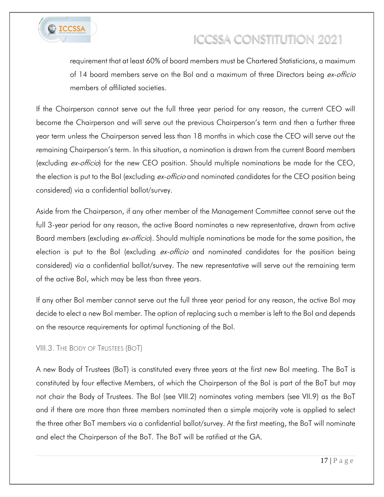

requirement that at least 60% of board members must be Chartered Statisticians, a maximum of 14 board members serve on the BoI and a maximum of three Directors being ex-officio members of affiliated societies.

If the Chairperson cannot serve out the full three year period for any reason, the current CEO will become the Chairperson and will serve out the previous Chairperson's term and then a further three year term unless the Chairperson served less than 18 months in which case the CEO will serve out the remaining Chairperson's term. In this situation, a nomination is drawn from the current Board members (excluding *ex-officio*) for the new CEO position. Should multiple nominations be made for the CEO, the election is put to the BoI (excluding ex-officio and nominated candidates for the CEO position being considered) via a confidential ballot/survey.

Aside from the Chairperson, if any other member of the Management Committee cannot serve out the full 3-year period for any reason, the active Board nominates a new representative, drawn from active Board members (excluding ex-officio). Should multiple nominations be made for the same position, the election is put to the BoI (excluding *ex-officio* and nominated candidates for the position being considered) via a confidential ballot/survey. The new representative will serve out the remaining term of the active BoI, which may be less than three years.

If any other BoI member cannot serve out the full three year period for any reason, the active BoI may decide to elect a new BoI member. The option of replacing such a member is left to the BoI and depends on the resource requirements for optimal functioning of the BoI.

#### VIII.3. THE BODY OF TRUSTEES (BOT)

A new Body of Trustees (BoT) is constituted every three years at the first new BoI meeting. The BoT is constituted by four effective Members, of which the Chairperson of the BoI is part of the BoT but may not chair the Body of Trustees. The BoI (see VIII.2) nominates voting members (see VII.9) as the BoT and if there are more than three members nominated then a simple majority vote is applied to select the three other BoT members via a confidential ballot/survey. At the first meeting, the BoT will nominate and elect the Chairperson of the BoT. The BoT will be ratified at the GA.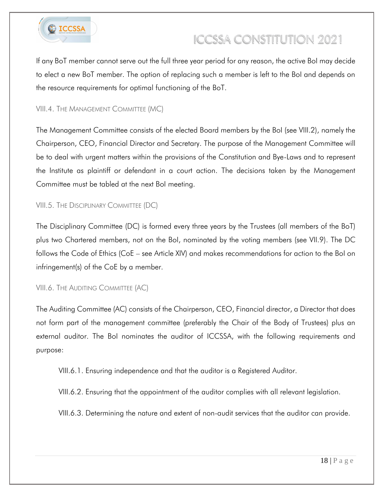

If any BoT member cannot serve out the full three year period for any reason, the active BoI may decide to elect a new BoT member. The option of replacing such a member is left to the BoI and depends on the resource requirements for optimal functioning of the BoT.

#### VIII.4. THE MANAGEMENT COMMITTEE (MC)

The Management Committee consists of the elected Board members by the BoI (see VIII.2), namely the Chairperson, CEO, Financial Director and Secretary. The purpose of the Management Committee will be to deal with urgent matters within the provisions of the Constitution and Bye-Laws and to represent the Institute as plaintiff or defendant in a court action. The decisions taken by the Management Committee must be tabled at the next BoI meeting.

#### VIII.5. THE DISCIPLINARY COMMITTEE (DC)

The Disciplinary Committee (DC) is formed every three years by the Trustees (all members of the BoT) plus two Chartered members, not on the BoI, nominated by the voting members (see VII.9). The DC follows the Code of Ethics (CoE – see Article XIV) and makes recommendations for action to the BoI on infringement(s) of the CoE by a member.

#### VIII.6. THE AUDITING COMMITTEE (AC)

The Auditing Committee (AC) consists of the Chairperson, CEO, Financial director, a Director that does not form part of the management committee (preferably the Chair of the Body of Trustees) plus an external auditor. The BoI nominates the auditor of ICCSSA, with the following requirements and purpose:

VIII.6.1. Ensuring independence and that the auditor is a Registered Auditor.

VIII.6.2. Ensuring that the appointment of the auditor complies with all relevant legislation.

VIII.6.3. Determining the nature and extent of non-audit services that the auditor can provide.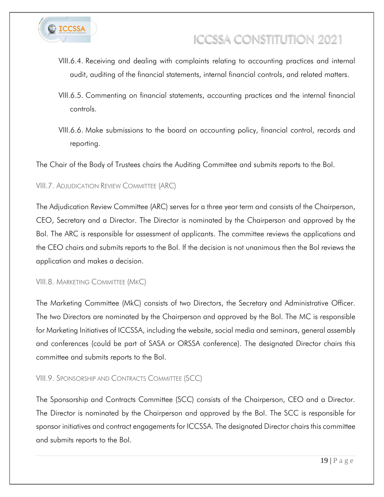

- VIII.6.4. Receiving and dealing with complaints relating to accounting practices and internal audit, auditing of the financial statements, internal financial controls, and related matters.
- VIII.6.5. Commenting on financial statements, accounting practices and the internal financial controls.
- VIII.6.6. Make submissions to the board on accounting policy, financial control, records and reporting.

The Chair of the Body of Trustees chairs the Auditing Committee and submits reports to the BoI.

VIII.7. ADJUDICATION REVIEW COMMITTEE (ARC)

The Adjudication Review Committee (ARC) serves for a three year term and consists of the Chairperson, CEO, Secretary and a Director. The Director is nominated by the Chairperson and approved by the BoI. The ARC is responsible for assessment of applicants. The committee reviews the applications and the CEO chairs and submits reports to the BoI. If the decision is not unanimous then the BoI reviews the application and makes a decision.

VIII.8. MARKETING COMMITTEE (MKC)

The Marketing Committee (MkC) consists of two Directors, the Secretary and Administrative Officer. The two Directors are nominated by the Chairperson and approved by the BoI. The MC is responsible for Marketing Initiatives of ICCSSA, including the website, social media and seminars, general assembly and conferences (could be part of SASA or ORSSA conference). The designated Director chairs this committee and submits reports to the BoI.

#### VIII.9. SPONSORSHIP AND CONTRACTS COMMITTEE (SCC)

The Sponsorship and Contracts Committee (SCC) consists of the Chairperson, CEO and a Director. The Director is nominated by the Chairperson and approved by the BoI. The SCC is responsible for sponsor initiatives and contract engagements for ICCSSA. The designated Director chairs this committee and submits reports to the BoI.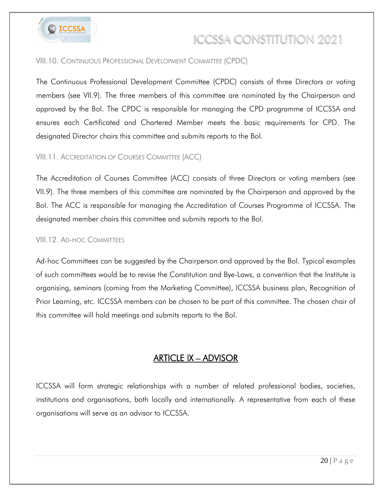

#### VIII.10. CONTINUOUS PROFESSIONAL DEVELOPMENT COMMITTEE (CPDC)

The Continuous Professional Development Committee (CPDC) consists of three Directors or voting members (see VII.9). The three members of this committee are nominated by the Chairperson and approved by the BoI. The CPDC is responsible for managing the CPD programme of ICCSSA and ensures each Certificated and Chartered Member meets the basic requirements for CPD. The designated Director chairs this committee and submits reports to the BoI.

#### VIII.11. ACCREDITATION OF COURSES COMMITTEE (ACC)

The Accreditation of Courses Committee (ACC) consists of three Directors or voting members (see VII.9). The three members of this committee are nominated by the Chairperson and approved by the BoI. The ACC is responsible for managing the Accreditation of Courses Programme of ICCSSA. The designated member chairs this committee and submits reports to the BoI.

#### VIII.12. AD-HOC COMMITTEES

Ad-hoc Committees can be suggested by the Chairperson and approved by the BoI. Typical examples of such committees would be to revise the Constitution and Bye-Laws, a convention that the Institute is organising, seminars (coming from the Marketing Committee), ICCSSA business plan, Recognition of Prior Learning, etc. ICCSSA members can be chosen to be part of this committee. The chosen chair of this committee will hold meetings and submits reports to the BoI.

### ARTICLE IX – ADVISOR

<span id="page-19-0"></span>ICCSSA will form strategic relationships with a number of related professional bodies, societies, institutions and organisations, both locally and internationally. A representative from each of these organisations will serve as an advisor to ICCSSA.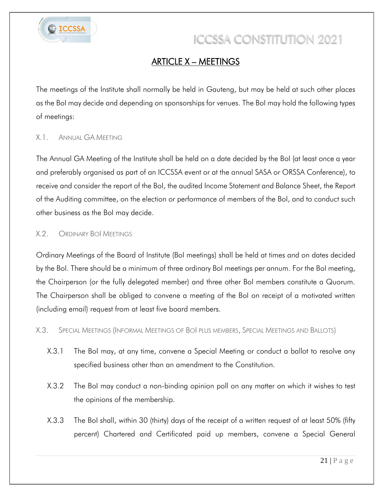

### ARTICLE X – MEETINGS

<span id="page-20-0"></span>The meetings of the Institute shall normally be held in Gauteng, but may be held at such other places as the BoI may decide and depending on sponsorships for venues. The BoI may hold the following types of meetings:

#### X.1. ANNUAL GA MEETING

The Annual GA Meeting of the Institute shall be held on a date decided by the BoI (at least once a year and preferably organised as part of an ICCSSA event or at the annual SASA or ORSSA Conference), to receive and consider the report of the BoI, the audited Income Statement and Balance Sheet, the Report of the Auditing committee, on the election or performance of members of the BoI, and to conduct such other business as the BoI may decide.

#### X.2. ORDINARY BOI MEETINGS

Ordinary Meetings of the Board of Institute (BoI meetings) shall be held at times and on dates decided by the BoI. There should be a minimum of three ordinary BoI meetings per annum. For the BoI meeting, the Chairperson (or the fully delegated member) and three other BoI members constitute a Quorum. The Chairperson shall be obliged to convene a meeting of the BoI on receipt of a motivated written (including email) request from at least five board members.

X.3. SPECIAL MEETINGS (INFORMAL MEETINGS OF BOI PLUS MEMBERS, SPECIAL MEETINGS AND BALLOTS)

- X.3.1 The BoI may, at any time, convene a Special Meeting or conduct a ballot to resolve any specified business other than an amendment to the Constitution.
- X.3.2 The BoI may conduct a non-binding opinion poll on any matter on which it wishes to test the opinions of the membership.
- X.3.3 The BoI shall, within 30 (thirty) days of the receipt of a written request of at least 50% (fifty percent) Chartered and Certificated paid up members, convene a Special General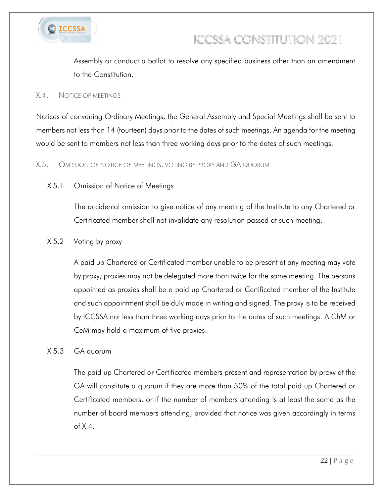

Assembly or conduct a ballot to resolve any specified business other than an amendment to the Constitution.

#### X.4. NOTICE OF MEETINGS

Notices of convening Ordinary Meetings, the General Assembly and Special Meetings shall be sent to members not less than 14 (fourteen) days prior to the dates of such meetings. An agenda for the meeting would be sent to members not less than three working days prior to the dates of such meetings.

#### X.5. OMISSION OF NOTICE OF MEETINGS, VOTING BY PROXY AND GA QUORUM

#### X.5.1 Omission of Notice of Meetings

The accidental omission to give notice of any meeting of the Institute to any Chartered or Certificated member shall not invalidate any resolution passed at such meeting.

#### X.5.2 Voting by proxy

A paid up Chartered or Certificated member unable to be present at any meeting may vote by proxy; proxies may not be delegated more than twice for the same meeting. The persons appointed as proxies shall be a paid up Chartered or Certificated member of the Institute and such appointment shall be duly made in writing and signed. The proxy is to be received by ICCSSA not less than three working days prior to the dates of such meetings. A ChM or CeM may hold a maximum of five proxies.

#### X.5.3 GA quorum

The paid up Chartered or Certificated members present and representation by proxy at the GA will constitute a quorum if they are more than 50% of the total paid up Chartered or Certificated members, or if the number of members attending is at least the same as the number of board members attending, provided that notice was given accordingly in terms of X.4.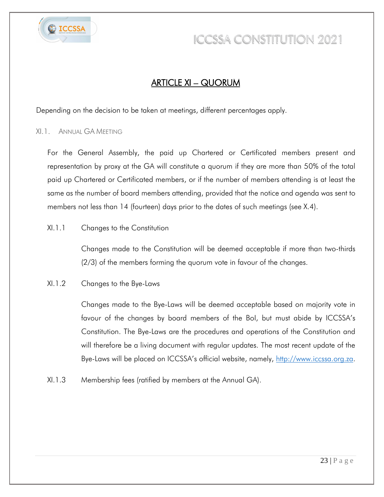

### ARTICLE XI – QUORUM

<span id="page-22-0"></span>Depending on the decision to be taken at meetings, different percentages apply.

#### XI.1. ANNUAL GA MEETING

For the General Assembly, the paid up Chartered or Certificated members present and representation by proxy at the GA will constitute a quorum if they are more than 50% of the total paid up Chartered or Certificated members, or if the number of members attending is at least the same as the number of board members attending, provided that the notice and agenda was sent to members not less than 14 (fourteen) days prior to the dates of such meetings (see X.4).

#### XI.1.1 Changes to the Constitution

Changes made to the Constitution will be deemed acceptable if more than two-thirds (2/3) of the members forming the quorum vote in favour of the changes.

#### XI.1.2 Changes to the Bye-Laws

Changes made to the Bye-Laws will be deemed acceptable based on majority vote in favour of the changes by board members of the BoI, but must abide by ICCSSA's Constitution. The Bye-Laws are the procedures and operations of the Constitution and will therefore be a living document with regular updates. The most recent update of the Bye-Laws will be placed on ICCSSA's official website, namely, [http://www.iccssa.org.za.](http://www.iccssa.org.za/)

XI.1.3 Membership fees (ratified by members at the Annual GA).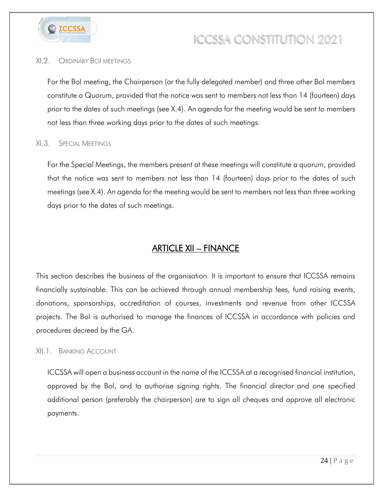

#### XI.2. ORDINARY BOI MEETINGS

For the BoI meeting, the Chairperson (or the fully delegated member) and three other BoI members constitute a Quorum, provided that the notice was sent to members not less than 14 (fourteen) days prior to the dates of such meetings (see X.4). An agenda for the meeting would be sent to members not less than three working days prior to the dates of such meetings.

#### XI.3. SPECIAL MEETINGS

For the Special Meetings, the members present at these meetings will constitute a quorum, provided that the notice was sent to members not less than 14 (fourteen) days prior to the dates of such meetings (see X.4). An agenda for the meeting would be sent to members not less than three working days prior to the dates of such meetings.

### ARTICLE XII – FINANCE

<span id="page-23-0"></span>This section describes the business of the organisation. It is important to ensure that ICCSSA remains financially sustainable. This can be achieved through annual membership fees, fund raising events, donations, sponsorships, accreditation of courses, investments and revenue from other ICCSSA projects. The BoI is authorised to manage the finances of ICCSSA in accordance with policies and procedures decreed by the GA.

#### XII.1. BANKING ACCOUNT

ICCSSA will open a business account in the name of the ICCSSA at a recognised financial institution, approved by the BoI, and to authorise signing rights. The financial director and one specified additional person (preferably the chairperson) are to sign all cheques and approve all electronic payments.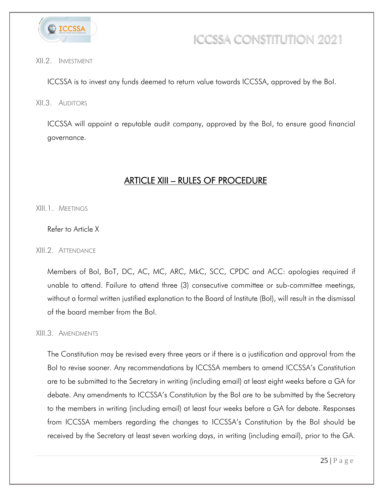

#### XII.2. INVESTMENT

ICCSSA is to invest any funds deemed to return value towards ICCSSA, approved by the BoI.

XII.3. AUDITORS

ICCSSA will appoint a reputable audit company, approved by the BoI, to ensure good financial governance.

### ARTICLE XIII – RULES OF PROCEDURE

<span id="page-24-0"></span>XIII.1. MEETINGS

Refer to Article X

XIII.2. ATTENDANCE

Members of BoI, BoT, DC, AC, MC, ARC, MkC, SCC, CPDC and ACC: apologies required if unable to attend. Failure to attend three (3) consecutive committee or sub-committee meetings, without a formal written justified explanation to the Board of Institute (BoI), will result in the dismissal of the board member from the BoI.

#### XIII.3. AMENDMENTS

The Constitution may be revised every three years or if there is a justification and approval from the BoI to revise sooner. Any recommendations by ICCSSA members to amend ICCSSA's Constitution are to be submitted to the Secretary in writing (including email) at least eight weeks before a GA for debate. Any amendments to ICCSSA's Constitution by the BoI are to be submitted by the Secretary to the members in writing (including email) at least four weeks before a GA for debate. Responses from ICCSSA members regarding the changes to ICCSSA's Constitution by the BoI should be received by the Secretary at least seven working days, in writing (including email), prior to the GA.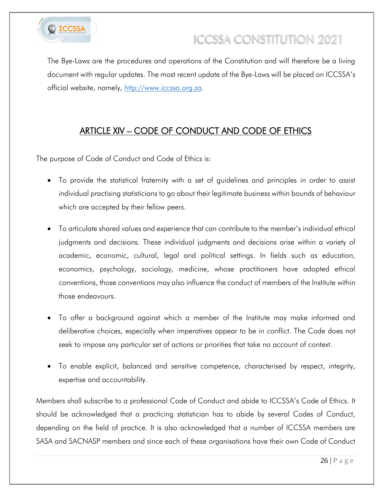

The Bye-Laws are the procedures and operations of the Constitution and will therefore be a living document with regular updates. The most recent update of the Bye-Laws will be placed on ICCSSA's official website, namely, [http://www.iccssa.org.za.](http://www.iccssa.org.za/)

### ARTICLE XIV – CODE OF CONDUCT AND CODE OF ETHICS

<span id="page-25-0"></span>The purpose of Code of Conduct and Code of Ethics is:

- To provide the statistical fraternity with a set of guidelines and principles in order to assist individual practising statisticians to go about their legitimate business within bounds of behaviour which are accepted by their fellow peers.
- To articulate shared values and experience that can contribute to the member's individual ethical judgments and decisions. These individual judgments and decisions arise within a variety of academic, economic, cultural, legal and political settings. In fields such as education, economics, psychology, sociology, medicine, whose practitioners have adopted ethical conventions, those conventions may also influence the conduct of members of the Institute within those endeavours.
- To offer a background against which a member of the Institute may make informed and deliberative choices, especially when imperatives appear to be in conflict. The Code does not seek to impose any particular set of actions or priorities that take no account of context.
- To enable explicit, balanced and sensitive competence, characterised by respect, integrity, expertise and accountability.

Members shall subscribe to a professional Code of Conduct and abide to ICCSSA's Code of Ethics. It should be acknowledged that a practicing statistician has to abide by several Codes of Conduct, depending on the field of practice. It is also acknowledged that a number of ICCSSA members are SASA and SACNASP members and since each of these organisations have their own Code of Conduct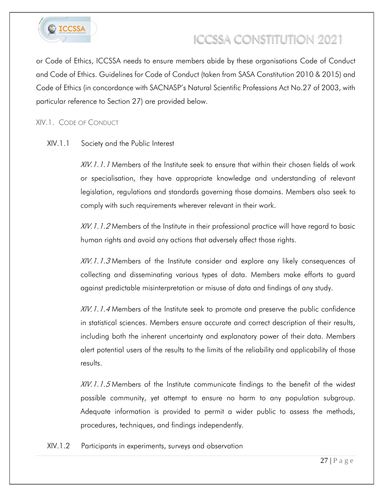

or Code of Ethics, ICCSSA needs to ensure members abide by these organisations Code of Conduct and Code of Ethics. Guidelines for Code of Conduct (taken from SASA Constitution 2010 & 2015) and Code of Ethics (in concordance with SACNASP's Natural Scientific Professions Act No.27 of 2003, with particular reference to Section 27) are provided below.

#### XIV.1. CODE OF CONDUCT

#### XIV.1.1 Society and the Public Interest

 $XIV.1.1.1$  Members of the Institute seek to ensure that within their chosen fields of work or specialisation, they have appropriate knowledge and understanding of relevant legislation, regulations and standards governing those domains. Members also seek to comply with such requirements wherever relevant in their work.

XIV.1.1.2 Members of the Institute in their professional practice will have regard to basic human rights and avoid any actions that adversely affect those rights.

XIV.1.1.3 Members of the Institute consider and explore any likely consequences of collecting and disseminating various types of data. Members make efforts to guard against predictable misinterpretation or misuse of data and findings of any study.

XIV.1.1.4 Members of the Institute seek to promote and preserve the public confidence in statistical sciences. Members ensure accurate and correct description of their results, including both the inherent uncertainty and explanatory power of their data. Members alert potential users of the results to the limits of the reliability and applicability of those results.

XIV.1.1.5 Members of the Institute communicate findings to the benefit of the widest possible community, yet attempt to ensure no harm to any population subgroup. Adequate information is provided to permit a wider public to assess the methods, procedures, techniques, and findings independently.

XIV.1.2 Participants in experiments, surveys and observation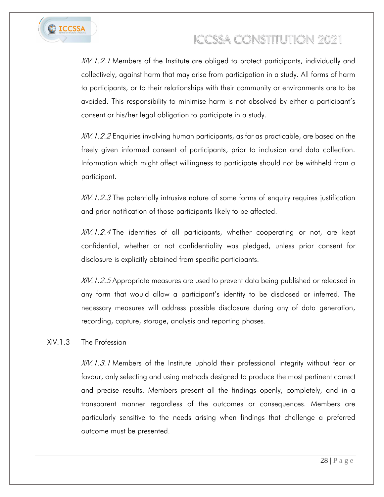

XIV.1.2.1 Members of the Institute are obliged to protect participants, individually and collectively, against harm that may arise from participation in a study. All forms of harm to participants, or to their relationships with their community or environments are to be avoided. This responsibility to minimise harm is not absolved by either a participant's consent or his/her legal obligation to participate in a study.

 $X/V.1.2.2$  Enquiries involving human participants, as far as practicable, are based on the freely given informed consent of participants, prior to inclusion and data collection. Information which might affect willingness to participate should not be withheld from a participant.

 $X/V.1.2.3$  The potentially intrusive nature of some forms of enquiry requires justification and prior notification of those participants likely to be affected.

XIV.1.2.4 The identities of all participants, whether cooperating or not, are kept confidential, whether or not confidentiality was pledged, unless prior consent for disclosure is explicitly obtained from specific participants.

XIV. 1.2.5 Appropriate measures are used to prevent data being published or released in any form that would allow a participant's identity to be disclosed or inferred. The necessary measures will address possible disclosure during any of data generation, recording, capture, storage, analysis and reporting phases.

#### XIV.1.3 The Profession

XIV.1.3.1 Members of the Institute uphold their professional integrity without fear or favour, only selecting and using methods designed to produce the most pertinent correct and precise results. Members present all the findings openly, completely, and in a transparent manner regardless of the outcomes or consequences. Members are particularly sensitive to the needs arising when findings that challenge a preferred outcome must be presented.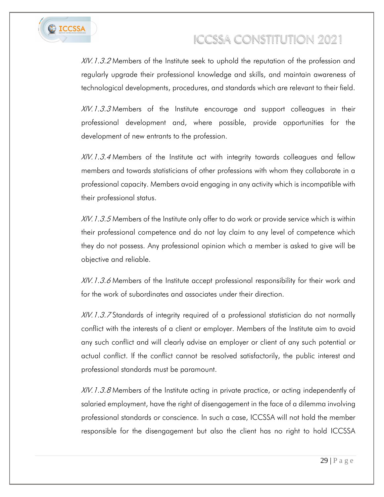

XIV.1.3.2 Members of the Institute seek to uphold the reputation of the profession and regularly upgrade their professional knowledge and skills, and maintain awareness of technological developments, procedures, and standards which are relevant to their field.

XIV.1.3.3 Members of the Institute encourage and support colleagues in their professional development and, where possible, provide opportunities for the development of new entrants to the profession.

XIV.1.3.4 Members of the Institute act with integrity towards colleagues and fellow members and towards statisticians of other professions with whom they collaborate in a professional capacity. Members avoid engaging in any activity which is incompatible with their professional status.

XIV. 1.3.5 Members of the Institute only offer to do work or provide service which is within their professional competence and do not lay claim to any level of competence which they do not possess. Any professional opinion which a member is asked to give will be objective and reliable.

XIV.1.3.6 Members of the Institute accept professional responsibility for their work and for the work of subordinates and associates under their direction.

XIV.1.3.7 Standards of integrity required of a professional statistician do not normally conflict with the interests of a client or employer. Members of the Institute aim to avoid any such conflict and will clearly advise an employer or client of any such potential or actual conflict. If the conflict cannot be resolved satisfactorily, the public interest and professional standards must be paramount.

XIV.1.3.8 Members of the Institute acting in private practice, or acting independently of salaried employment, have the right of disengagement in the face of a dilemma involving professional standards or conscience. In such a case, ICCSSA will not hold the member responsible for the disengagement but also the client has no right to hold ICCSSA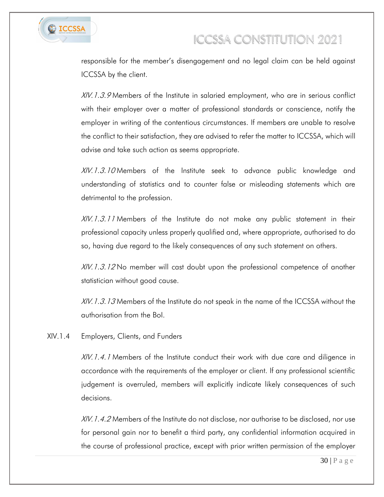

responsible for the member's disengagement and no legal claim can be held against ICCSSA by the client.

XIV.1.3.9 Members of the Institute in salaried employment, who are in serious conflict with their employer over a matter of professional standards or conscience, notify the employer in writing of the contentious circumstances. If members are unable to resolve the conflict to their satisfaction, they are advised to refer the matter to ICCSSA, which will advise and take such action as seems appropriate.

XIV.1.3.10 Members of the Institute seek to advance public knowledge and understanding of statistics and to counter false or misleading statements which are detrimental to the profession.

XIV.1.3.11 Members of the Institute do not make any public statement in their professional capacity unless properly qualified and, where appropriate, authorised to do so, having due regard to the likely consequences of any such statement on others.

XIV.1.3.12 No member will cast doubt upon the professional competence of another statistician without good cause.

XIV. 1.3.13 Members of the Institute do not speak in the name of the ICCSSA without the authorisation from the BoI.

XIV.1.4 Employers, Clients, and Funders

XIV.1.4.1 Members of the Institute conduct their work with due care and diligence in accordance with the requirements of the employer or client. If any professional scientific judgement is overruled, members will explicitly indicate likely consequences of such decisions.

XIV. 1.4.2 Members of the Institute do not disclose, nor authorise to be disclosed, nor use for personal gain nor to benefit a third party, any confidential information acquired in the course of professional practice, except with prior written permission of the employer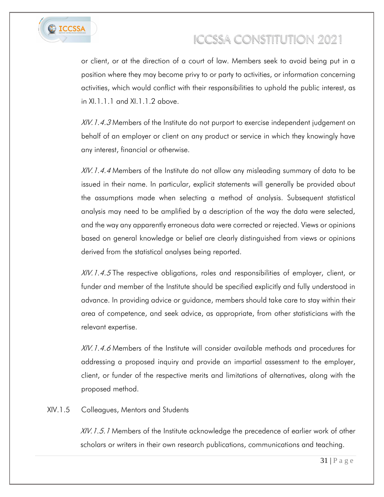

or client, or at the direction of a court of law. Members seek to avoid being put in a position where they may become privy to or party to activities, or information concerning activities, which would conflict with their responsibilities to uphold the public interest, as in XI.1.1.1 and XI.1.1.2 above.

XIV. 1.4.3 Members of the Institute do not purport to exercise independent judgement on behalf of an employer or client on any product or service in which they knowingly have any interest, financial or otherwise.

XIV.1.4.4 Members of the Institute do not allow any misleading summary of data to be issued in their name. In particular, explicit statements will generally be provided about the assumptions made when selecting a method of analysis. Subsequent statistical analysis may need to be amplified by a description of the way the data were selected, and the way any apparently erroneous data were corrected or rejected. Views or opinions based on general knowledge or belief are clearly distinguished from views or opinions derived from the statistical analyses being reported.

XIV.1.4.5 The respective obligations, roles and responsibilities of employer, client, or funder and member of the Institute should be specified explicitly and fully understood in advance. In providing advice or guidance, members should take care to stay within their area of competence, and seek advice, as appropriate, from other statisticians with the relevant expertise.

XIV.1.4.6 Members of the Institute will consider available methods and procedures for addressing a proposed inquiry and provide an impartial assessment to the employer, client, or funder of the respective merits and limitations of alternatives, along with the proposed method.

#### XIV.1.5 Colleagues, Mentors and Students

XIV. 1.5.1 Members of the Institute acknowledge the precedence of earlier work of other scholars or writers in their own research publications, communications and teaching.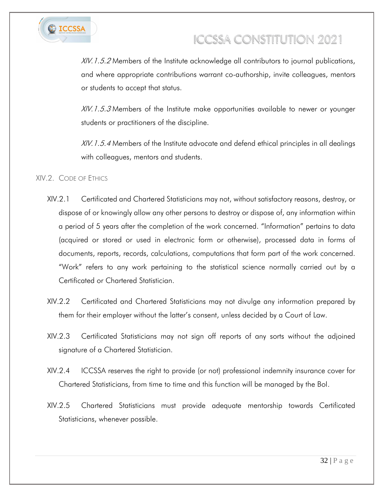

XIV. 1.5.2 Members of the Institute acknowledge all contributors to journal publications, and where appropriate contributions warrant co-authorship, invite colleagues, mentors or students to accept that status.

XIV.1.5.3 Members of the Institute make opportunities available to newer or younger students or practitioners of the discipline.

XIV. 1.5.4 Members of the Institute advocate and defend ethical principles in all dealings with colleagues, mentors and students.

#### XIV.2. CODE OF ETHICS

- XIV.2.1 Certificated and Chartered Statisticians may not, without satisfactory reasons, destroy, or dispose of or knowingly allow any other persons to destroy or dispose of, any information within a period of 5 years after the completion of the work concerned. "Information" pertains to data (acquired or stored or used in electronic form or otherwise), processed data in forms of documents, reports, records, calculations, computations that form part of the work concerned. "Work" refers to any work pertaining to the statistical science normally carried out by a Certificated or Chartered Statistician.
- XIV.2.2 Certificated and Chartered Statisticians may not divulge any information prepared by them for their employer without the latter's consent, unless decided by a Court of Law.
- XIV.2.3 Certificated Statisticians may not sign off reports of any sorts without the adjoined signature of a Chartered Statistician.
- XIV.2.4 ICCSSA reserves the right to provide (or not) professional indemnity insurance cover for Chartered Statisticians, from time to time and this function will be managed by the BoI.
- XIV.2.5 Chartered Statisticians must provide adequate mentorship towards Certificated Statisticians, whenever possible.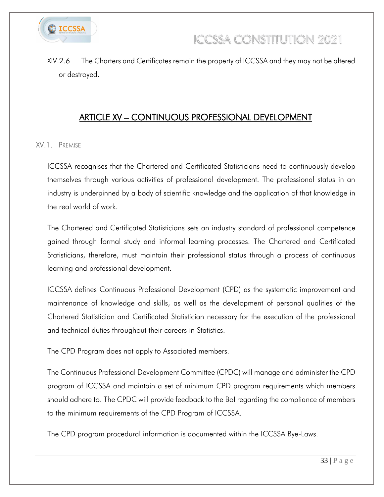

XIV.2.6 The Charters and Certificates remain the property of ICCSSA and they may not be altered or destroyed.

### ARTICLE XV – CONTINUOUS PROFESSIONAL DEVELOPMENT

<span id="page-32-0"></span>XV.1. PREMISE

ICCSSA recognises that the Chartered and Certificated Statisticians need to continuously develop themselves through various activities of professional development. The professional status in an industry is underpinned by a body of scientific knowledge and the application of that knowledge in the real world of work.

The Chartered and Certificated Statisticians sets an industry standard of professional competence gained through formal study and informal learning processes. The Chartered and Certificated Statisticians, therefore, must maintain their professional status through a process of continuous learning and professional development.

ICCSSA defines Continuous Professional Development (CPD) as the systematic improvement and maintenance of knowledge and skills, as well as the development of personal qualities of the Chartered Statistician and Certificated Statistician necessary for the execution of the professional and technical duties throughout their careers in Statistics.

The CPD Program does not apply to Associated members.

The Continuous Professional Development Committee (CPDC) will manage and administer the CPD program of ICCSSA and maintain a set of minimum CPD program requirements which members should adhere to. The CPDC will provide feedback to the BoI regarding the compliance of members to the minimum requirements of the CPD Program of ICCSSA.

The CPD program procedural information is documented within the ICCSSA Bye-Laws.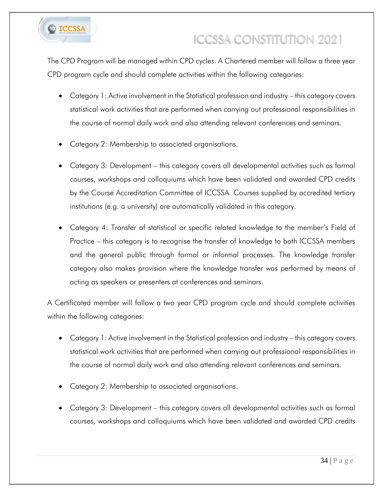

The CPD Program will be managed within CPD cycles. A Chartered member will follow a three year CPD program cycle and should complete activities within the following categories:

- Category 1: Active involvement in the Statistical profession and industry this category covers statistical work activities that are performed when carrying out professional responsibilities in the course of normal daily work and also attending relevant conferences and seminars.
- Category 2: Membership to associated organisations.
- Category 3: Development this category covers all developmental activities such as formal courses, workshops and colloquiums which have been validated and awarded CPD credits by the Course Accreditation Committee of ICCSSA. Courses supplied by accredited tertiary institutions (e.g. a university) are automatically validated in this category.
- Category 4: Transfer of statistical or specific related knowledge to the member's Field of Practice – this category is to recognise the transfer of knowledge to both ICCSSA members and the general public through formal or informal processes. The knowledge transfer category also makes provision where the knowledge transfer was performed by means of acting as speakers or presenters at conferences and seminars.

A Certificated member will follow a two year CPD program cycle and should complete activities within the following categories:

- Category 1: Active involvement in the Statistical profession and industry this category covers statistical work activities that are performed when carrying out professional responsibilities in the course of normal daily work and also attending relevant conferences and seminars.
- Category 2: Membership to associated organisations.
- Category 3: Development this category covers all developmental activities such as formal courses, workshops and colloquiums which have been validated and awarded CPD credits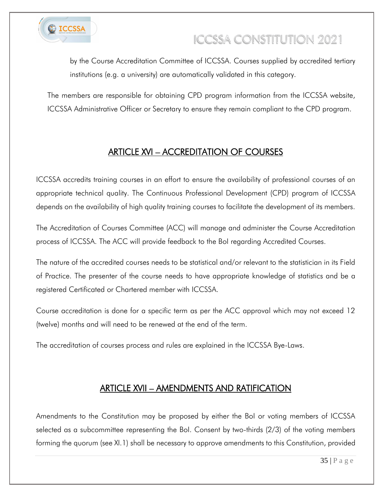

by the Course Accreditation Committee of ICCSSA. Courses supplied by accredited tertiary institutions (e.g. a university) are automatically validated in this category.

The members are responsible for obtaining CPD program information from the ICCSSA website, ICCSSA Administrative Officer or Secretary to ensure they remain compliant to the CPD program.

### ARTICLE XVI – ACCREDITATION OF COURSES

<span id="page-34-0"></span>ICCSSA accredits training courses in an effort to ensure the availability of professional courses of an appropriate technical quality. The Continuous Professional Development (CPD) program of ICCSSA depends on the availability of high quality training courses to facilitate the development of its members.

The Accreditation of Courses Committee (ACC) will manage and administer the Course Accreditation process of ICCSSA. The ACC will provide feedback to the BoI regarding Accredited Courses.

The nature of the accredited courses needs to be statistical and/or relevant to the statistician in its Field of Practice. The presenter of the course needs to have appropriate knowledge of statistics and be a registered Certificated or Chartered member with ICCSSA.

Course accreditation is done for a specific term as per the ACC approval which may not exceed 12 (twelve) months and will need to be renewed at the end of the term.

The accreditation of courses process and rules are explained in the ICCSSA Bye-Laws.

### ARTICLE XVII – AMENDMENTS AND RATIFICATION

<span id="page-34-1"></span>Amendments to the Constitution may be proposed by either the BoI or voting members of ICCSSA selected as a subcommittee representing the BoI. Consent by two-thirds (2/3) of the voting members forming the quorum (see XI.1) shall be necessary to approve amendments to this Constitution, provided